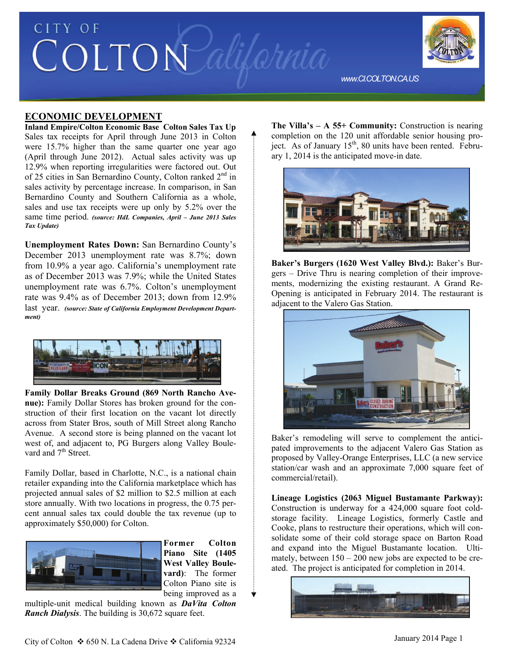

#### **ECONOMIC DEVELOPMENT**

**Inland Empire/Colton Economic Base Colton Sales Tax Up**  Sales tax receipts for April through June 2013 in Colton were 15.7% higher than the same quarter one year ago (April through June 2012). Actual sales activity was up 12.9% when reporting irregularities were factored out. Out of 25 cities in San Bernardino County, Colton ranked  $2<sup>nd</sup>$  in sales activity by percentage increase. In comparison, in San Bernardino County and Southern California as a whole, sales and use tax receipts were up only by 5.2% over the same time period. *(source: HdL Companies, April – June 2013 Sales Tax Update)*

**Unemployment Rates Down:** San Bernardino County's December 2013 unemployment rate was 8.7%; down from 10.9% a year ago. California's unemployment rate as of December 2013 was 7.9%; while the United States unemployment rate was 6.7%. Colton's unemployment rate was 9.4% as of December 2013; down from 12.9% last year. *(source: State of California Employment Development Department)*



**Family Dollar Breaks Ground (869 North Rancho Avenue):** Family Dollar Stores has broken ground for the construction of their first location on the vacant lot directly across from Stater Bros, south of Mill Street along Rancho Avenue. A second store is being planned on the vacant lot west of, and adjacent to, PG Burgers along Valley Boulevard and 7<sup>th</sup> Street.

Family Dollar, based in Charlotte, N.C., is a national chain retailer expanding into the California marketplace which has projected annual sales of \$2 million to \$2.5 million at each store annually. With two locations in progress, the 0.75 percent annual sales tax could double the tax revenue (up to approximately \$50,000) for Colton.



**Former Colton Piano Site (1405 West Valley Boulevard)**: The former Colton Piano site is being improved as a

multiple-unit medical building known as *DaVita Colton Ranch Dialysis*. The building is 30,672 square feet.

**The Villa's – A 55+ Community:** Construction is nearing completion on the 120 unit affordable senior housing project. As of January 15<sup>th</sup>, 80 units have been rented. February 1, 2014 is the anticipated move-in date.



**Baker's Burgers (1620 West Valley Blvd.):** Baker's Burgers – Drive Thru is nearing completion of their improvements, modernizing the existing restaurant. A Grand Re-Opening is anticipated in February 2014. The restaurant is adjacent to the Valero Gas Station.



Baker's remodeling will serve to complement the anticipated improvements to the adjacent Valero Gas Station as proposed by Valley-Orange Enterprises, LLC (a new service station/car wash and an approximate 7,000 square feet of commercial/retail).

**Lineage Logistics (2063 Miguel Bustamante Parkway):**  Construction is underway for a 424,000 square foot coldstorage facility. Lineage Logistics, formerly Castle and Cooke, plans to restructure their operations, which will consolidate some of their cold storage space on Barton Road and expand into the Miguel Bustamante location. Ultimately, between 150 – 200 new jobs are expected to be created. The project is anticipated for completion in 2014.

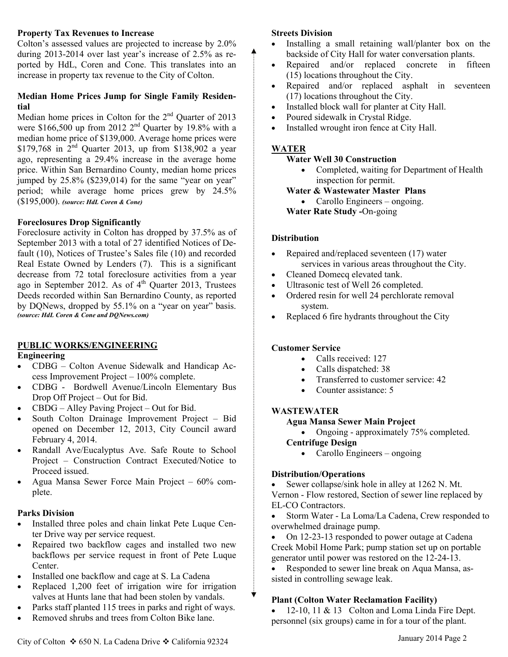#### **Property Tax Revenues to Increase**

Colton's assessed values are projected to increase by 2.0% during 2013-2014 over last year's increase of 2.5% as reported by HdL, Coren and Cone. This translates into an increase in property tax revenue to the City of Colton.

#### **Median Home Prices Jump for Single Family Residential**

Median home prices in Colton for the 2<sup>nd</sup> Quarter of 2013 were \$166,500 up from 2012  $2<sup>nd</sup>$  Quarter by 19.8% with a median home price of \$139,000. Average home prices were \$179,768 in  $2^{nd}$  Quarter 2013, up from \$138,902 a year ago, representing a 29.4% increase in the average home price. Within San Bernardino County, median home prices jumped by 25.8% (\$239,014) for the same "year on year" period; while average home prices grew by 24.5% (\$195,000). *(source: HdL Coren & Cone)*

# **Foreclosures Drop Significantly**

Foreclosure activity in Colton has dropped by 37.5% as of September 2013 with a total of 27 identified Notices of Default (10), Notices of Trustee's Sales file (10) and recorded Real Estate Owned by Lenders (7). This is a significant decrease from 72 total foreclosure activities from a year ago in September 2012. As of  $4<sup>th</sup>$  Quarter 2013, Trustees Deeds recorded within San Bernardino County, as reported by DQNews, dropped by 55.1% on a "year on year" basis. *(source: HdL Coren & Cone and DQNews.com)*

# **PUBLIC WORKS/ENGINEERING**

## **Engineering**

- CDBG Colton Avenue Sidewalk and Handicap Access Improvement Project – 100% complete.
- CDBG Bordwell Avenue/Lincoln Elementary Bus Drop Off Project – Out for Bid.
- CBDG Alley Paving Project Out for Bid.
- South Colton Drainage Improvement Project Bid opened on December 12, 2013, City Council award February 4, 2014.
- Randall Ave/Eucalyptus Ave. Safe Route to School Project – Construction Contract Executed/Notice to Proceed issued.
- Agua Mansa Sewer Force Main Project 60% complete.

## **Parks Division**

- Installed three poles and chain linkat Pete Luque Center Drive way per service request.
- Repaired two backflow cages and installed two new backflows per service request in front of Pete Luque Center.
- Installed one backflow and cage at S. La Cadena
- Replaced 1,200 feet of irrigation wire for irrigation valves at Hunts lane that had been stolen by vandals.
- Parks staff planted 115 trees in parks and right of ways.
- Removed shrubs and trees from Colton Bike lane.

#### **Streets Division**

▲

- Installing a small retaining wall/planter box on the backside of City Hall for water conversation plants.
- Repaired and/or replaced concrete in fifteen (15) locations throughout the City.
- Repaired and/or replaced asphalt in seventeen (17) locations throughout the City.
- Installed block wall for planter at City Hall.
- Poured sidewalk in Crystal Ridge.
- Installed wrought iron fence at City Hall.

## **WATER**

## **Water Well 30 Construction**

• Completed, waiting for Department of Health inspection for permit.

**Water & Wastewater Master Plans** 

• Carollo Engineers – ongoing.

 **Water Rate Study -**On-going

# **Distribution**

- Repaired and/replaced seventeen (17) water services in various areas throughout the City.
- Cleaned Domecq elevated tank.
- Ultrasonic test of Well 26 completed.
- Ordered resin for well 24 perchlorate removal system.
- Replaced 6 fire hydrants throughout the City

# **Customer Service**

- Calls received: 127
- Calls dispatched: 38
- Transferred to customer service: 42
- Counter assistance: 5

# **WASTEWATER**

- **Agua Mansa Sewer Main Project**
- Ongoing approximately 75% completed. **Centrifuge Design** 
	- Carollo Engineers ongoing

# **Distribution/Operations**

 Sewer collapse/sink hole in alley at 1262 N. Mt. Vernon - Flow restored, Section of sewer line replaced by EL-CO Contractors.

 Storm Water - La Loma/La Cadena, Crew responded to overwhelmed drainage pump.

 On 12-23-13 responded to power outage at Cadena Creek Mobil Home Park; pump station set up on portable generator until power was restored on the 12-24-13.

 Responded to sewer line break on Aqua Mansa, assisted in controlling sewage leak.

# **Plant (Colton Water Reclamation Facility)**

 $\bullet$  12-10, 11 & 13 Colton and Loma Linda Fire Dept. personnel (six groups) came in for a tour of the plant.